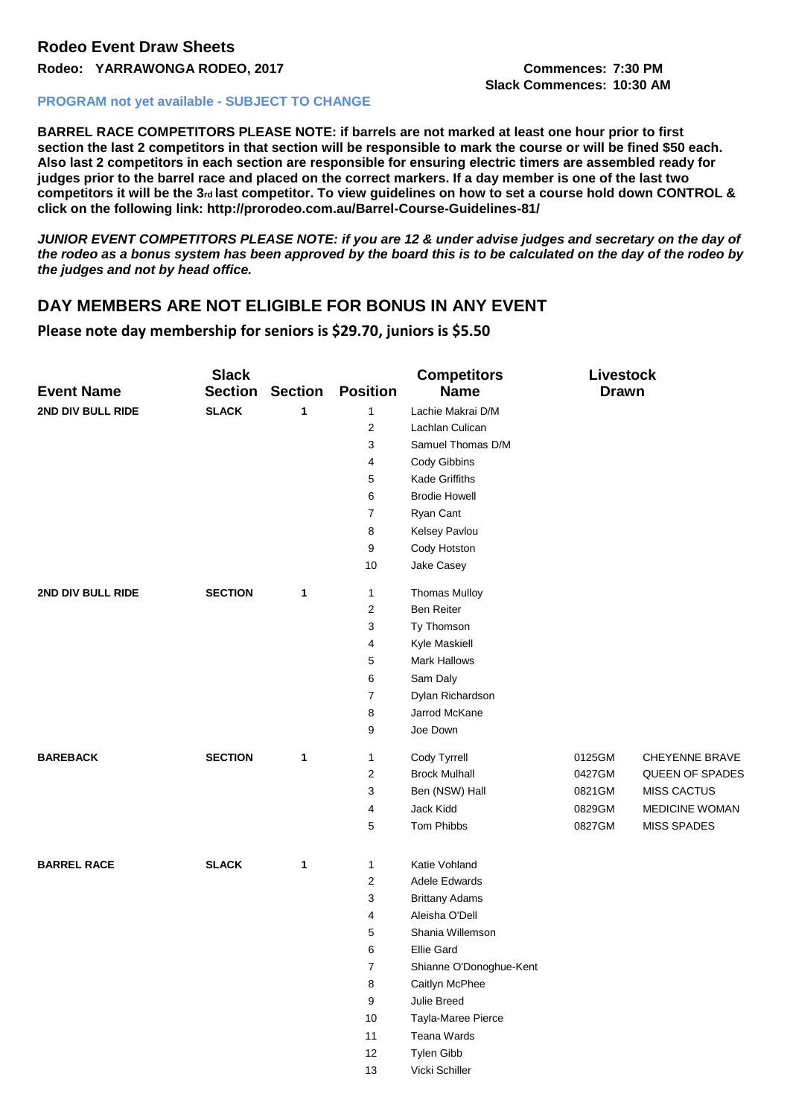**Slack Commences: 10:30 AM**

## **PROGRAM not yet available - SUBJECT TO CHANGE**

**BARREL RACE COMPETITORS PLEASE NOTE: if barrels are not marked at least one hour prior to first section the last 2 competitors in that section will be responsible to mark the course or will be fined \$50 each. Also last 2 competitors in each section are responsible for ensuring electric timers are assembled ready for judges prior to the barrel race and placed on the correct markers. If a day member is one of the last two**  competitors it will be the 3<sup>rd</sup> last competitor. To view quidelines on how to set a course hold down CONTROL & **click on the following link: http://prorodeo.com.au/Barrel-Course-Guidelines-81/** 

*JUNIOR EVENT COMPETITORS PLEASE NOTE: if you are 12 & under advise judges and secretary on the day of the rodeo as a bonus system has been approved by the board this is to be calculated on the day of the rodeo by the judges and not by head office.* 

## **DAY MEMBERS ARE NOT ELIGIBLE FOR BONUS IN ANY EVENT**

**Please note day membership for seniors is \$29.70, juniors is \$5.50**

| <b>Event Name</b>  | <b>Slack</b><br><b>Section</b> | <b>Section</b> | <b>Position</b>  | <b>Competitors</b><br><b>Name</b> | <b>Livestock</b><br><b>Drawn</b> |                       |
|--------------------|--------------------------------|----------------|------------------|-----------------------------------|----------------------------------|-----------------------|
| 2ND DIV BULL RIDE  | <b>SLACK</b>                   | 1              | 1                | Lachie Makrai D/M                 |                                  |                       |
|                    |                                |                | $\overline{2}$   | Lachlan Culican                   |                                  |                       |
|                    |                                |                | 3                | Samuel Thomas D/M                 |                                  |                       |
|                    |                                |                | 4                | Cody Gibbins                      |                                  |                       |
|                    |                                |                | 5                | <b>Kade Griffiths</b>             |                                  |                       |
|                    |                                |                | 6                | <b>Brodie Howell</b>              |                                  |                       |
|                    |                                |                | 7                | Ryan Cant                         |                                  |                       |
|                    |                                |                | 8                | Kelsey Pavlou                     |                                  |                       |
|                    |                                |                | 9                | Cody Hotston                      |                                  |                       |
|                    |                                |                | 10               | Jake Casey                        |                                  |                       |
| 2ND DIV BULL RIDE  | <b>SECTION</b>                 | 1              | $\mathbf{1}$     | <b>Thomas Mulloy</b>              |                                  |                       |
|                    |                                |                | $\overline{c}$   | <b>Ben Reiter</b>                 |                                  |                       |
|                    |                                |                | 3                | Ty Thomson                        |                                  |                       |
|                    |                                |                | 4                | Kyle Maskiell                     |                                  |                       |
|                    |                                |                | 5                | Mark Hallows                      |                                  |                       |
|                    |                                |                | 6                | Sam Daly                          |                                  |                       |
|                    |                                |                | $\overline{7}$   | Dylan Richardson                  |                                  |                       |
|                    |                                |                | 8                | Jarrod McKane                     |                                  |                       |
|                    |                                |                | 9                | Joe Down                          |                                  |                       |
| <b>BAREBACK</b>    | <b>SECTION</b>                 | 1              | $\mathbf{1}$     | Cody Tyrrell                      | 0125GM                           | CHEYENNE BRAVE        |
|                    |                                |                | $\overline{2}$   | <b>Brock Mulhall</b>              | 0427GM                           | QUEEN OF SPADES       |
|                    |                                |                | 3                | Ben (NSW) Hall                    | 0821GM                           | <b>MISS CACTUS</b>    |
|                    |                                |                | 4                | Jack Kidd                         | 0829GM                           | <b>MEDICINE WOMAN</b> |
|                    |                                |                | 5                | Tom Phibbs                        | 0827GM                           | <b>MISS SPADES</b>    |
| <b>BARREL RACE</b> | <b>SLACK</b>                   | 1              | $\mathbf{1}$     | Katie Vohland                     |                                  |                       |
|                    |                                |                | 2                | Adele Edwards                     |                                  |                       |
|                    |                                |                | 3                | <b>Brittany Adams</b>             |                                  |                       |
|                    |                                |                | 4                | Aleisha O'Dell                    |                                  |                       |
|                    |                                |                | 5                | Shania Willemson                  |                                  |                       |
|                    |                                |                | 6                | <b>Ellie Gard</b>                 |                                  |                       |
|                    |                                |                | 7                | Shianne O'Donoghue-Kent           |                                  |                       |
|                    |                                |                | $\bf 8$          | Caitlyn McPhee                    |                                  |                       |
|                    |                                |                | $\boldsymbol{9}$ | Julie Breed                       |                                  |                       |
|                    |                                |                | 10               | Tayla-Maree Pierce                |                                  |                       |
|                    |                                |                | 11               | Teana Wards                       |                                  |                       |
|                    |                                |                | 12               | Tylen Gibb                        |                                  |                       |
|                    |                                |                | 13               | Vicki Schiller                    |                                  |                       |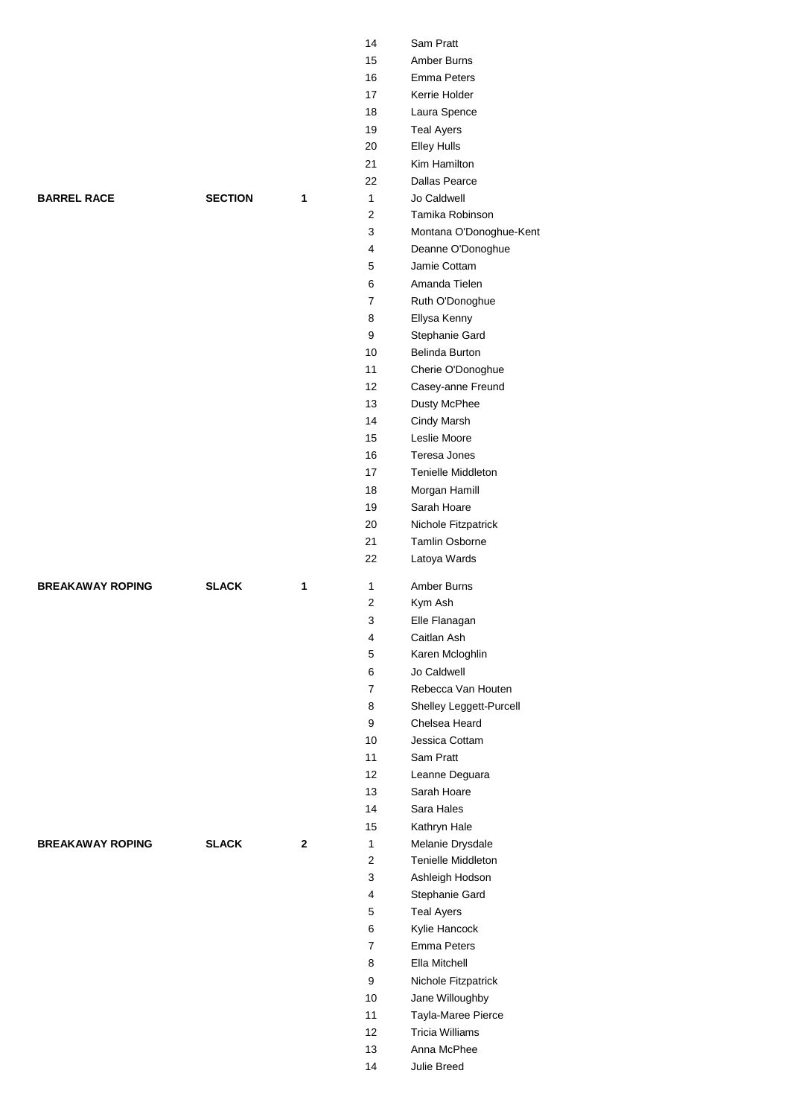|                         |                |   | 14                | Sam Pratt                                |
|-------------------------|----------------|---|-------------------|------------------------------------------|
|                         |                |   | 15                | Amber Burns                              |
|                         |                |   | 16                | <b>Emma Peters</b>                       |
|                         |                |   | 17                | Kerrie Holder                            |
|                         |                |   | 18                | Laura Spence                             |
|                         |                |   | 19                | <b>Teal Ayers</b>                        |
|                         |                |   | 20                | <b>Elley Hulls</b>                       |
|                         |                |   | 21                | Kim Hamilton                             |
|                         |                |   | 22                | <b>Dallas Pearce</b>                     |
| <b>BARREL RACE</b>      | <b>SECTION</b> | 1 | 1                 | Jo Caldwell                              |
|                         |                |   | $\overline{2}$    | Tamika Robinson                          |
|                         |                |   | 3                 | Montana O'Donoghue-Kent                  |
|                         |                |   | 4                 | Deanne O'Donoghue                        |
|                         |                |   | 5                 | Jamie Cottam                             |
|                         |                |   | 6                 | Amanda Tielen                            |
|                         |                |   | $\overline{7}$    | Ruth O'Donoghue                          |
|                         |                |   | 8                 | Ellysa Kenny                             |
|                         |                |   | 9                 | Stephanie Gard                           |
|                         |                |   | 10                | Belinda Burton                           |
|                         |                |   | 11                | Cherie O'Donoghue                        |
|                         |                |   | $12 \overline{ }$ | Casey-anne Freund                        |
|                         |                |   | 13                | Dusty McPhee                             |
|                         |                |   | 14                | Cindy Marsh                              |
|                         |                |   | 15                | Leslie Moore                             |
|                         |                |   | 16                | Teresa Jones                             |
|                         |                |   | 17                | Tenielle Middleton                       |
|                         |                |   | 18                | Morgan Hamill                            |
|                         |                |   | 19                | Sarah Hoare                              |
|                         |                |   | 20                | Nichole Fitzpatrick                      |
|                         |                |   | 21                | <b>Tamlin Osborne</b>                    |
|                         |                |   |                   |                                          |
|                         |                |   | 22                | Latoya Wards                             |
| <b>BREAKAWAY ROPING</b> |                |   |                   |                                          |
|                         | <b>SLACK</b>   | 1 | 1<br>2            | Amber Burns                              |
|                         |                |   |                   | Kym Ash                                  |
|                         |                |   | 3<br>4            | Elle Flanagan                            |
|                         |                |   |                   | Caitlan Ash                              |
|                         |                |   | 5<br>6            | Karen Mcloghlin<br>Jo Caldwell           |
|                         |                |   | $\overline{7}$    | Rebecca Van Houten                       |
|                         |                |   | 8                 |                                          |
|                         |                |   | 9                 | Shelley Leggett-Purcell<br>Chelsea Heard |
|                         |                |   | 10                | Jessica Cottam                           |
|                         |                |   | 11                | Sam Pratt                                |
|                         |                |   | 12                | Leanne Deguara                           |
|                         |                |   | 13                | Sarah Hoare                              |
|                         |                |   | 14                | Sara Hales                               |
|                         |                |   | 15                | Kathryn Hale                             |
| <b>BREAKAWAY ROPING</b> | <b>SLACK</b>   | 2 | 1                 | Melanie Drysdale                         |
|                         |                |   | $\overline{2}$    | Tenielle Middleton                       |
|                         |                |   | 3                 | Ashleigh Hodson                          |
|                         |                |   | $\overline{4}$    | Stephanie Gard                           |
|                         |                |   | 5                 | <b>Teal Ayers</b>                        |
|                         |                |   | 6                 | Kylie Hancock                            |
|                         |                |   | $\overline{7}$    | Emma Peters                              |
|                         |                |   | 8                 | Ella Mitchell                            |
|                         |                |   | 9                 | Nichole Fitzpatrick                      |
|                         |                |   | 10                | Jane Willoughby                          |
|                         |                |   | 11                | Tayla-Maree Pierce                       |
|                         |                |   | 12                | <b>Tricia Williams</b>                   |
|                         |                |   | 13                | Anna McPhee                              |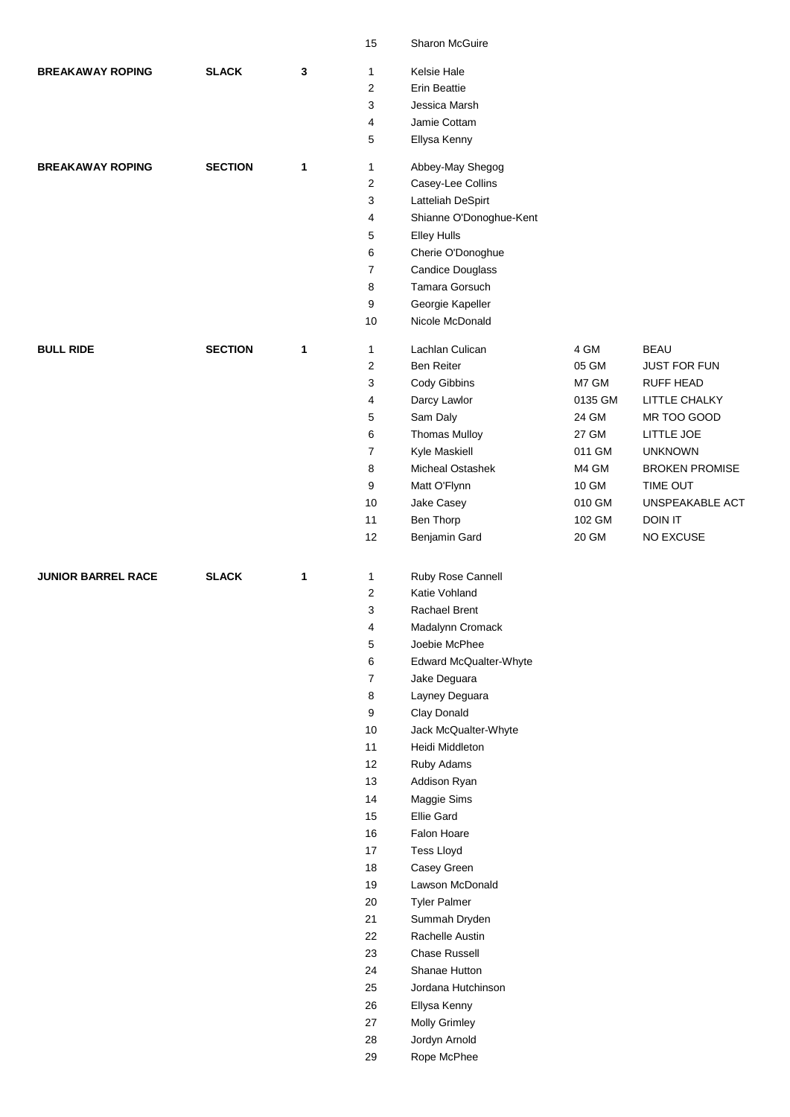|                           |                |              | 15                  | Sharon McGuire                            |                 |                             |
|---------------------------|----------------|--------------|---------------------|-------------------------------------------|-----------------|-----------------------------|
| <b>BREAKAWAY ROPING</b>   | <b>SLACK</b>   | 3            | $\mathbf{1}$        | Kelsie Hale                               |                 |                             |
|                           |                |              | $\mathbf{2}$        | <b>Erin Beattie</b>                       |                 |                             |
|                           |                |              | 3                   | Jessica Marsh                             |                 |                             |
|                           |                |              | 4                   | Jamie Cottam                              |                 |                             |
|                           |                |              | 5                   | Ellysa Kenny                              |                 |                             |
| <b>BREAKAWAY ROPING</b>   | <b>SECTION</b> | 1            | $\mathbf{1}$        | Abbey-May Shegog                          |                 |                             |
|                           |                |              | $\overline{c}$      | Casey-Lee Collins                         |                 |                             |
|                           |                |              | 3                   | Latteliah DeSpirt                         |                 |                             |
|                           |                |              | 4                   | Shianne O'Donoghue-Kent                   |                 |                             |
|                           |                |              | 5                   | <b>Elley Hulls</b>                        |                 |                             |
|                           |                |              | 6<br>$\overline{7}$ | Cherie O'Donoghue                         |                 |                             |
|                           |                |              | 8                   | <b>Candice Douglass</b><br>Tamara Gorsuch |                 |                             |
|                           |                |              | 9                   | Georgie Kapeller                          |                 |                             |
|                           |                |              | 10                  | Nicole McDonald                           |                 |                             |
| <b>BULL RIDE</b>          | <b>SECTION</b> | $\mathbf{1}$ | 1                   | Lachlan Culican                           | 4 GM            | <b>BEAU</b>                 |
|                           |                |              | 2                   | Ben Reiter                                | 05 GM           | <b>JUST FOR FUN</b>         |
|                           |                |              | 3                   | Cody Gibbins                              | M7 GM           | <b>RUFF HEAD</b>            |
|                           |                |              | 4                   | Darcy Lawlor                              | 0135 GM         | LITTLE CHALKY               |
|                           |                |              | 5                   | Sam Daly                                  | 24 GM           | MR TOO GOOD                 |
|                           |                |              | 6                   | <b>Thomas Mulloy</b>                      | 27 GM           | LITTLE JOE                  |
|                           |                |              | $\overline{7}$      | Kyle Maskiell                             | 011 GM          | <b>UNKNOWN</b>              |
|                           |                |              | 8                   | Micheal Ostashek                          | M4 GM           | <b>BROKEN PROMISE</b>       |
|                           |                |              | 9<br>10             | Matt O'Flynn<br>Jake Casey                | 10 GM<br>010 GM | TIME OUT<br>UNSPEAKABLE ACT |
|                           |                |              | 11                  | Ben Thorp                                 | 102 GM          | DOIN IT                     |
|                           |                |              | 12                  | Benjamin Gard                             | 20 GM           | NO EXCUSE                   |
|                           |                |              |                     |                                           |                 |                             |
|                           |                |              |                     |                                           |                 |                             |
| <b>JUNIOR BARREL RACE</b> | <b>SLACK</b>   | 1            | 1                   | Ruby Rose Cannell                         |                 |                             |
|                           |                |              | 2                   | Katie Vohland                             |                 |                             |
|                           |                |              | 3                   | Rachael Brent                             |                 |                             |
|                           |                |              | 4                   | Madalynn Cromack                          |                 |                             |
|                           |                |              | 5                   | Joebie McPhee                             |                 |                             |
|                           |                |              | 6                   | Edward McQualter-Whyte                    |                 |                             |
|                           |                |              | $\overline{7}$<br>8 | Jake Deguara<br>Layney Deguara            |                 |                             |
|                           |                |              | 9                   | Clay Donald                               |                 |                             |
|                           |                |              | 10                  | Jack McQualter-Whyte                      |                 |                             |
|                           |                |              | 11                  | Heidi Middleton                           |                 |                             |
|                           |                |              | 12                  | Ruby Adams                                |                 |                             |
|                           |                |              | 13                  | Addison Ryan                              |                 |                             |
|                           |                |              | 14                  | Maggie Sims                               |                 |                             |
|                           |                |              | 15                  | Ellie Gard                                |                 |                             |
|                           |                |              | 16                  | Falon Hoare                               |                 |                             |
|                           |                |              | 17                  | <b>Tess Lloyd</b>                         |                 |                             |
|                           |                |              | 18                  | Casey Green                               |                 |                             |
|                           |                |              | 19<br>20            | Lawson McDonald<br><b>Tyler Palmer</b>    |                 |                             |
|                           |                |              | 21                  | Summah Dryden                             |                 |                             |
|                           |                |              | 22                  | Rachelle Austin                           |                 |                             |
|                           |                |              | 23                  | Chase Russell                             |                 |                             |
|                           |                |              | 24                  | Shanae Hutton                             |                 |                             |
|                           |                |              | 25                  | Jordana Hutchinson                        |                 |                             |
|                           |                |              | 26                  | Ellysa Kenny                              |                 |                             |
|                           |                |              | 27                  | Molly Grimley                             |                 |                             |
|                           |                |              | 28<br>29            | Jordyn Arnold<br>Rope McPhee              |                 |                             |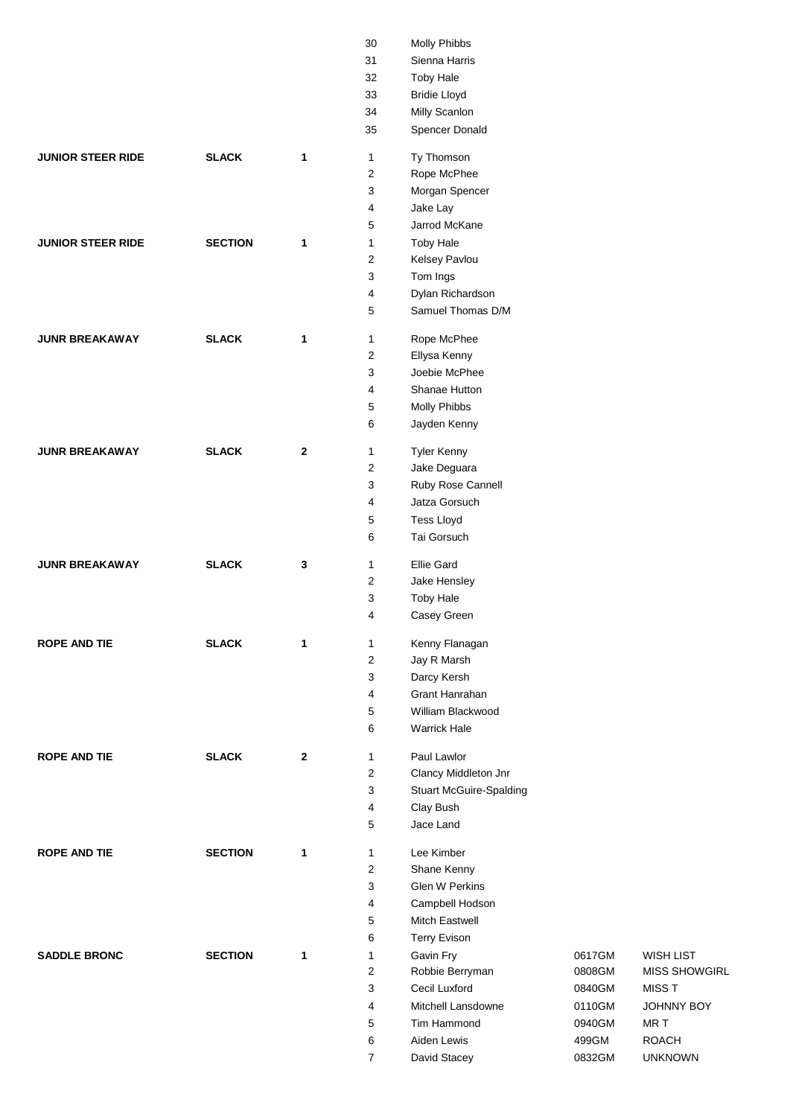|                          |                |              | 30           | Molly Phibbs                      |                  |                      |
|--------------------------|----------------|--------------|--------------|-----------------------------------|------------------|----------------------|
|                          |                |              | 31           | Sienna Harris                     |                  |                      |
|                          |                |              | 32           | <b>Toby Hale</b>                  |                  |                      |
|                          |                |              | 33           | <b>Bridie Lloyd</b>               |                  |                      |
|                          |                |              | 34           | Milly Scanlon                     |                  |                      |
|                          |                |              | 35           | Spencer Donald                    |                  |                      |
| <b>JUNIOR STEER RIDE</b> | <b>SLACK</b>   | $\mathbf{1}$ | $\mathbf{1}$ | Ty Thomson                        |                  |                      |
|                          |                |              | 2            | Rope McPhee                       |                  |                      |
|                          |                |              | 3            | Morgan Spencer                    |                  |                      |
|                          |                |              | 4            | Jake Lay                          |                  |                      |
|                          |                |              | 5            | Jarrod McKane                     |                  |                      |
| <b>JUNIOR STEER RIDE</b> | <b>SECTION</b> | 1            | $\mathbf{1}$ | <b>Toby Hale</b>                  |                  |                      |
|                          |                |              | 2            | Kelsey Pavlou                     |                  |                      |
|                          |                |              | 3            | Tom Ings                          |                  |                      |
|                          |                |              | 4            | Dylan Richardson                  |                  |                      |
|                          |                |              | 5            | Samuel Thomas D/M                 |                  |                      |
| <b>JUNR BREAKAWAY</b>    | <b>SLACK</b>   | 1            | $\mathbf{1}$ | Rope McPhee                       |                  |                      |
|                          |                |              | 2            | Ellysa Kenny                      |                  |                      |
|                          |                |              | 3            | Joebie McPhee                     |                  |                      |
|                          |                |              | 4            | Shanae Hutton                     |                  |                      |
|                          |                |              | 5            | Molly Phibbs                      |                  |                      |
|                          |                |              | 6            | Jayden Kenny                      |                  |                      |
| <b>JUNR BREAKAWAY</b>    | <b>SLACK</b>   | $\mathbf{2}$ | 1            | <b>Tyler Kenny</b>                |                  |                      |
|                          |                |              | 2            | Jake Deguara                      |                  |                      |
|                          |                |              | 3            | Ruby Rose Cannell                 |                  |                      |
|                          |                |              | 4            | Jatza Gorsuch                     |                  |                      |
|                          |                |              | 5            | <b>Tess Lloyd</b>                 |                  |                      |
|                          |                |              | 6            | Tai Gorsuch                       |                  |                      |
| <b>JUNR BREAKAWAY</b>    | <b>SLACK</b>   | 3            | 1            | <b>Ellie Gard</b>                 |                  |                      |
|                          |                |              | 2            | Jake Hensley                      |                  |                      |
|                          |                |              |              |                                   |                  |                      |
|                          |                |              | 3            | <b>Toby Hale</b>                  |                  |                      |
|                          |                |              | 4            | Casey Green                       |                  |                      |
| <b>ROPE AND TIE</b>      | <b>SLACK</b>   | 1            | 1            | Kenny Flanagan                    |                  |                      |
|                          |                |              | 2            | Jay R Marsh                       |                  |                      |
|                          |                |              | 3            | Darcy Kersh                       |                  |                      |
|                          |                |              | 4            | Grant Hanrahan                    |                  |                      |
|                          |                |              | 5            | William Blackwood                 |                  |                      |
|                          |                |              | 6            | <b>Warrick Hale</b>               |                  |                      |
| <b>ROPE AND TIE</b>      | <b>SLACK</b>   | $\mathbf{2}$ | $\mathbf{1}$ | Paul Lawlor                       |                  |                      |
|                          |                |              | 2            | Clancy Middleton Jnr              |                  |                      |
|                          |                |              | 3            | <b>Stuart McGuire-Spalding</b>    |                  |                      |
|                          |                |              | 4            | Clay Bush                         |                  |                      |
|                          |                |              | 5            | Jace Land                         |                  |                      |
| <b>ROPE AND TIE</b>      | <b>SECTION</b> | 1            | $\mathbf{1}$ | Lee Kimber                        |                  |                      |
|                          |                |              | 2            | Shane Kenny                       |                  |                      |
|                          |                |              | 3            | Glen W Perkins                    |                  |                      |
|                          |                |              | 4            | Campbell Hodson                   |                  |                      |
|                          |                |              | 5            | Mitch Eastwell                    |                  |                      |
|                          |                |              | 6            | <b>Terry Evison</b>               |                  |                      |
| <b>SADDLE BRONC</b>      | <b>SECTION</b> | $\mathbf{1}$ | $\mathbf{1}$ | Gavin Fry                         | 0617GM           | <b>WISH LIST</b>     |
|                          |                |              | 2            | Robbie Berryman                   | 0808GM           | <b>MISS SHOWGIRL</b> |
|                          |                |              | 3            | Cecil Luxford                     | 0840GM           | <b>MISST</b>         |
|                          |                |              | 4<br>5       | Mitchell Lansdowne<br>Tim Hammond | 0110GM<br>0940GM | JOHNNY BOY<br>MR T   |
|                          |                |              | 6            | Aiden Lewis                       | 499GM            | <b>ROACH</b>         |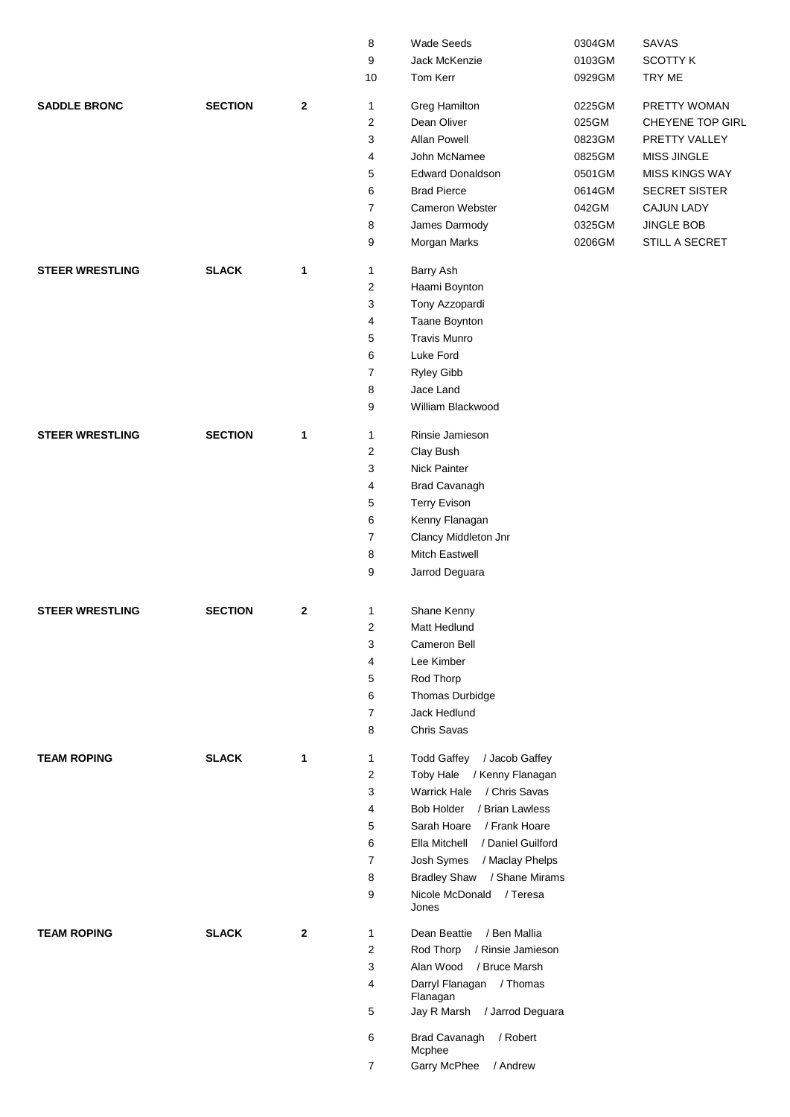|                        |                |                  | 8                | Wade Seeds                           | 0304GM | <b>SAVAS</b>          |
|------------------------|----------------|------------------|------------------|--------------------------------------|--------|-----------------------|
|                        |                |                  | 9                | Jack McKenzie                        | 0103GM | <b>SCOTTY K</b>       |
|                        |                |                  | 10               | Tom Kerr                             | 0929GM | TRY ME                |
| <b>SADDLE BRONC</b>    | <b>SECTION</b> | $\boldsymbol{2}$ | $\mathbf{1}$     | Greg Hamilton                        | 0225GM | PRETTY WOMAN          |
|                        |                |                  | 2                | Dean Oliver                          | 025GM  | CHEYENE TOP GIRL      |
|                        |                |                  | 3                | <b>Allan Powell</b>                  | 0823GM | PRETTY VALLEY         |
|                        |                |                  | $\overline{4}$   | John McNamee                         | 0825GM | <b>MISS JINGLE</b>    |
|                        |                |                  | 5                | <b>Edward Donaldson</b>              | 0501GM | <b>MISS KINGS WAY</b> |
|                        |                |                  | 6                | <b>Brad Pierce</b>                   | 0614GM | <b>SECRET SISTER</b>  |
|                        |                |                  | $\overline{7}$   | Cameron Webster                      | 042GM  | <b>CAJUN LADY</b>     |
|                        |                |                  | 8                | James Darmody                        | 0325GM | <b>JINGLE BOB</b>     |
|                        |                |                  | 9                | Morgan Marks                         | 0206GM | STILL A SECRET        |
| <b>STEER WRESTLING</b> | <b>SLACK</b>   | 1                | $\mathbf{1}$     | Barry Ash                            |        |                       |
|                        |                |                  | $\overline{2}$   | Haami Boynton                        |        |                       |
|                        |                |                  | 3                | Tony Azzopardi                       |        |                       |
|                        |                |                  | 4                | Taane Boynton                        |        |                       |
|                        |                |                  | 5                | <b>Travis Munro</b>                  |        |                       |
|                        |                |                  | 6                | Luke Ford                            |        |                       |
|                        |                |                  | $\overline{7}$   | Ryley Gibb                           |        |                       |
|                        |                |                  | 8                | Jace Land                            |        |                       |
|                        |                |                  | 9                | William Blackwood                    |        |                       |
| <b>STEER WRESTLING</b> | <b>SECTION</b> | 1                | $\mathbf{1}$     | Rinsie Jamieson                      |        |                       |
|                        |                |                  | $\boldsymbol{2}$ | Clay Bush                            |        |                       |
|                        |                |                  | 3                | Nick Painter                         |        |                       |
|                        |                |                  | 4                | <b>Brad Cavanagh</b>                 |        |                       |
|                        |                |                  | 5                | <b>Terry Evison</b>                  |        |                       |
|                        |                |                  | 6                | Kenny Flanagan                       |        |                       |
|                        |                |                  | $\overline{7}$   | Clancy Middleton Jnr                 |        |                       |
|                        |                |                  | 8                | Mitch Eastwell                       |        |                       |
|                        |                |                  | 9                | Jarrod Deguara                       |        |                       |
|                        |                |                  |                  |                                      |        |                       |
| <b>STEER WRESTLING</b> | <b>SECTION</b> | $\mathbf{2}$     | $\mathbf{1}$     | Shane Kenny                          |        |                       |
|                        |                |                  | 2                | Matt Hedlund                         |        |                       |
|                        |                |                  | 3                | Cameron Bell                         |        |                       |
|                        |                |                  | 4                | Lee Kimber                           |        |                       |
|                        |                |                  | 5                | Rod Thorp                            |        |                       |
|                        |                |                  | 6                | Thomas Durbidge                      |        |                       |
|                        |                |                  | $\overline{7}$   | Jack Hedlund                         |        |                       |
|                        |                |                  | 8                | Chris Savas                          |        |                       |
| <b>TEAM ROPING</b>     | <b>SLACK</b>   | 1                | $\mathbf{1}$     | <b>Todd Gaffey</b><br>/ Jacob Gaffey |        |                       |
|                        |                |                  | $\overline{2}$   | Toby Hale / Kenny Flanagan           |        |                       |
|                        |                |                  | 3                | <b>Warrick Hale</b><br>/ Chris Savas |        |                       |
|                        |                |                  | 4                | Bob Holder / Brian Lawless           |        |                       |
|                        |                |                  | 5                | Sarah Hoare / Frank Hoare            |        |                       |
|                        |                |                  | 6                | Ella Mitchell / Daniel Guilford      |        |                       |
|                        |                |                  | $\overline{7}$   | Josh Symes<br>/ Maclay Phelps        |        |                       |
|                        |                |                  | 8                | Bradley Shaw / Shane Mirams          |        |                       |
|                        |                |                  | 9                | Nicole McDonald / Teresa<br>Jones    |        |                       |
|                        |                |                  |                  |                                      |        |                       |
| <b>TEAM ROPING</b>     | <b>SLACK</b>   | $\mathbf{2}$     | 1                | Dean Beattie<br>/ Ben Mallia         |        |                       |
|                        |                |                  | 2                | Rod Thorp<br>/ Rinsie Jamieson       |        |                       |
|                        |                |                  | 3                | Alan Wood<br>/ Bruce Marsh           |        |                       |
|                        |                |                  | 4                | Darryl Flanagan / Thomas<br>Flanagan |        |                       |
|                        |                |                  | 5                | Jay R Marsh / Jarrod Deguara         |        |                       |
|                        |                |                  | 6                | Brad Cavanagh<br>/ Robert<br>Mcphee  |        |                       |
|                        |                |                  | $\overline{7}$   | / Andrew<br>Garry McPhee             |        |                       |